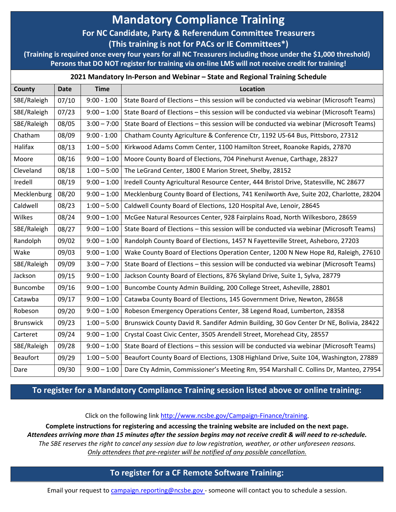# **Mandatory Compliance Training**

## **For NC Candidate, Party & Referendum Committee Treasurers**

**(This training is not for PACs or IE Committees\*)**

**(Training is required once every four years for all NC Treasurers including those under the \$1,000 threshold) Persons that DO NOT register for training via on-line LMS will not receive credit for training!**

#### **2021 Mandatory In-Person and Webinar – State and Regional Training Schedule**

| County           | <b>Date</b> | <b>Time</b>   | Location                                                                                |
|------------------|-------------|---------------|-----------------------------------------------------------------------------------------|
| SBE/Raleigh      | 07/10       | $9:00 - 1:00$ | State Board of Elections - this session will be conducted via webinar (Microsoft Teams) |
| SBE/Raleigh      | 07/23       | $9:00 - 1:00$ | State Board of Elections - this session will be conducted via webinar (Microsoft Teams) |
| SBE/Raleigh      | 08/05       | $3:00 - 7:00$ | State Board of Elections - this session will be conducted via webinar (Microsoft Teams) |
| Chatham          | 08/09       | $9:00 - 1:00$ | Chatham County Agriculture & Conference Ctr, 1192 US-64 Bus, Pittsboro, 27312           |
| Halifax          | 08/13       | $1:00 - 5:00$ | Kirkwood Adams Comm Center, 1100 Hamilton Street, Roanoke Rapids, 27870                 |
| Moore            | 08/16       | $9:00 - 1:00$ | Moore County Board of Elections, 704 Pinehurst Avenue, Carthage, 28327                  |
| Cleveland        | 08/18       | $1:00 - 5:00$ | The LeGrand Center, 1800 E Marion Street, Shelby, 28152                                 |
| Iredell          | 08/19       | $9:00 - 1:00$ | Iredell County Agricultural Resource Center, 444 Bristol Drive, Statesville, NC 28677   |
| Mecklenburg      | 08/20       | $9:00 - 1:00$ | Mecklenburg County Board of Elections, 741 Kenilworth Ave, Suite 202, Charlotte, 28204  |
| Caldwell         | 08/23       | $1:00 - 5:00$ | Caldwell County Board of Elections, 120 Hospital Ave, Lenoir, 28645                     |
| Wilkes           | 08/24       | $9:00 - 1:00$ | McGee Natural Resources Center, 928 Fairplains Road, North Wilkesboro, 28659            |
| SBE/Raleigh      | 08/27       | $9:00 - 1:00$ | State Board of Elections - this session will be conducted via webinar (Microsoft Teams) |
| Randolph         | 09/02       | $9:00 - 1:00$ | Randolph County Board of Elections, 1457 N Fayetteville Street, Asheboro, 27203         |
| Wake             | 09/03       | $9:00 - 1:00$ | Wake County Board of Elections Operation Center, 1200 N New Hope Rd, Raleigh, 27610     |
| SBE/Raleigh      | 09/09       | $3:00 - 7:00$ | State Board of Elections - this session will be conducted via webinar (Microsoft Teams) |
| Jackson          | 09/15       | $9:00 - 1:00$ | Jackson County Board of Elections, 876 Skyland Drive, Suite 1, Sylva, 28779             |
| Buncombe         | 09/16       | $9:00 - 1:00$ | Buncombe County Admin Building, 200 College Street, Asheville, 28801                    |
| Catawba          | 09/17       | $9:00 - 1:00$ | Catawba County Board of Elections, 145 Government Drive, Newton, 28658                  |
| Robeson          | 09/20       | $9:00 - 1:00$ | Robeson Emergency Operations Center, 38 Legend Road, Lumberton, 28358                   |
| <b>Brunswick</b> | 09/23       | $1:00 - 5:00$ | Brunswick County David R. Sandifer Admin Building, 30 Gov Center Dr NE, Bolivia, 28422  |
| Carteret         | 09/24       | $9:00 - 1:00$ | Crystal Coast Civic Center, 3505 Arendell Street, Morehead City, 28557                  |
| SBE/Raleigh      | 09/28       | $9:00 - 1:00$ | State Board of Elections - this session will be conducted via webinar (Microsoft Teams) |
| <b>Beaufort</b>  | 09/29       | $1:00 - 5:00$ | Beaufort County Board of Elections, 1308 Highland Drive, Suite 104, Washington, 27889   |
| Dare             | 09/30       | $9:00 - 1:00$ | Dare Cty Admin, Commissioner's Meeting Rm, 954 Marshall C. Collins Dr, Manteo, 27954    |

### **To register for a Mandatory Compliance Training session listed above or online training:**

Click on the following link [http://www.ncsbe.gov/Campaign-Finance/training.](http://www.ncsbe.gov/Campaign-Finance/training)

**Complete instructions for registering and accessing the training website are included on the next page.**  *Attendees arriving more than 15 minutes after the session begins may not receive credit & will need to re-schedule. The SBE reserves the right to cancel any session due to low registration, weather, or other unforeseen reasons. Only attendees that pre-register will be notified of any possible cancellation.*

### **To register for a CF Remote Software Training:**

Email your request to [campaign.reporting@ncsbe.gov -](mailto:campaign.reporting@ncsbe.gov) someone will contact you to schedule a session.